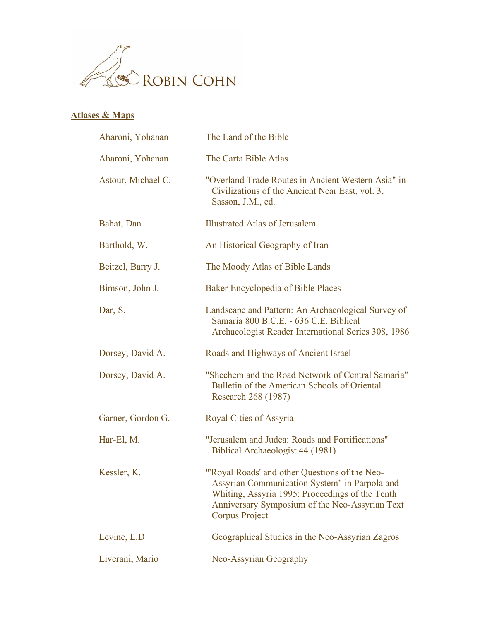

## **Atlases & Maps**

| Aharoni, Yohanan   | The Land of the Bible                                                                                                                                                                                                        |
|--------------------|------------------------------------------------------------------------------------------------------------------------------------------------------------------------------------------------------------------------------|
| Aharoni, Yohanan   | The Carta Bible Atlas                                                                                                                                                                                                        |
| Astour, Michael C. | "Overland Trade Routes in Ancient Western Asia" in<br>Civilizations of the Ancient Near East, vol. 3,<br>Sasson, J.M., ed.                                                                                                   |
| Bahat, Dan         | <b>Illustrated Atlas of Jerusalem</b>                                                                                                                                                                                        |
| Barthold, W.       | An Historical Geography of Iran                                                                                                                                                                                              |
| Beitzel, Barry J.  | The Moody Atlas of Bible Lands                                                                                                                                                                                               |
| Bimson, John J.    | Baker Encyclopedia of Bible Places                                                                                                                                                                                           |
| Dar, S.            | Landscape and Pattern: An Archaeological Survey of<br>Samaria 800 B.C.E. - 636 C.E. Biblical<br>Archaeologist Reader International Series 308, 1986                                                                          |
| Dorsey, David A.   | Roads and Highways of Ancient Israel                                                                                                                                                                                         |
| Dorsey, David A.   | "Shechem and the Road Network of Central Samaria"<br>Bulletin of the American Schools of Oriental<br>Research 268 (1987)                                                                                                     |
| Garner, Gordon G.  | Royal Cities of Assyria                                                                                                                                                                                                      |
| Har-El, M.         | "Jerusalem and Judea: Roads and Fortifications"<br>Biblical Archaeologist 44 (1981)                                                                                                                                          |
| Kessler, K.        | "Royal Roads' and other Questions of the Neo-<br>Assyrian Communication System" in Parpola and<br>Whiting, Assyria 1995: Proceedings of the Tenth<br>Anniversary Symposium of the Neo-Assyrian Text<br><b>Corpus Project</b> |
| Levine, L.D.       | Geographical Studies in the Neo-Assyrian Zagros                                                                                                                                                                              |
| Liverani, Mario    | Neo-Assyrian Geography                                                                                                                                                                                                       |